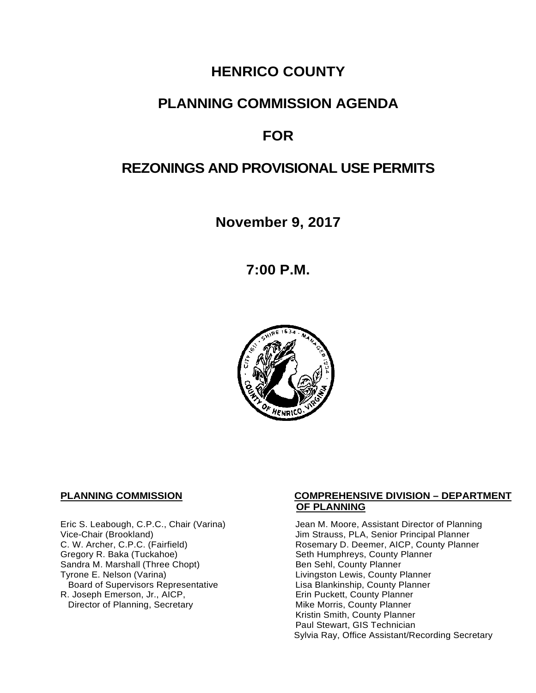# **HENRICO COUNTY**

# **PLANNING COMMISSION AGENDA**

# **FOR**

# **REZONINGS AND PROVISIONAL USE PERMITS**

**November 9, 2017**

**7:00 P.M.**



Eric S. Leabough, C.P.C., Chair (Varina) Vice-Chair (Brookland) C. W. Archer, C.P.C. (Fairfield) Gregory R. Baka (Tuckahoe) Sandra M. Marshall (Three Chopt)<br>Tyrone E. Nelson (Varina) Board of Supervisors Representative 
Lisa Blankinship, County Planner<br>
Lisa Blankinship, County Planner<br>
Lisa Blankinship, County Planner R. Joseph Emerson, Jr., AICP, Entertainment and Trin Puckett, County Planner<br>Director of Planning, Secretary **Example 20** Mike Morris, County Planner Director of Planning, Secretary

#### **PLANNING COMMISSION COMPREHENSIVE DIVISION – DEPARTMENT OF PLANNING**

Jean M. Moore, Assistant Director of Planning Jim Strauss, PLA, Senior Principal Planner Rosemary D. Deemer, AICP, County Planner Seth Humphreys, County Planner Ben Sehl, County Planner Livingston Lewis, County Planner Kristin Smith, County Planner Paul Stewart, GIS Technician Sylvia Ray, Office Assistant/Recording Secretary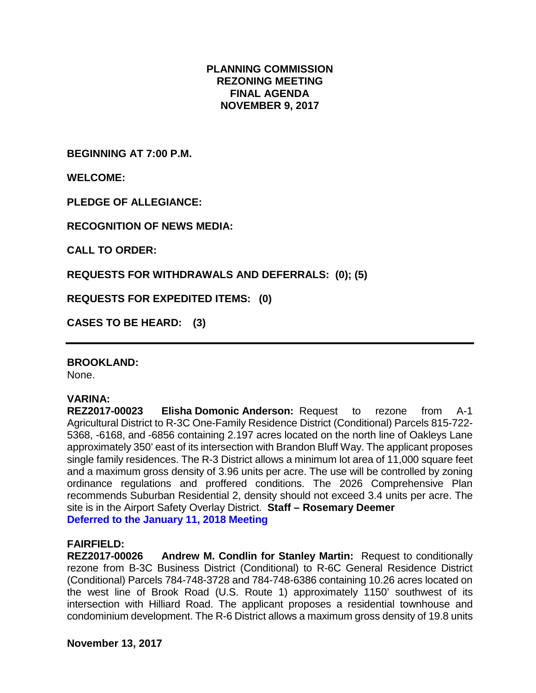#### **PLANNING COMMISSION REZONING MEETING FINAL AGENDA NOVEMBER 9, 2017**

**BEGINNING AT 7:00 P.M.**

**WELCOME:**

**PLEDGE OF ALLEGIANCE:**

**RECOGNITION OF NEWS MEDIA:**

**CALL TO ORDER:**

**REQUESTS FOR WITHDRAWALS AND DEFERRALS: (0); (5)**

**REQUESTS FOR EXPEDITED ITEMS: (0)**

**CASES TO BE HEARD: (3)**

#### **BROOKLAND:**

None.

#### **VARINA:**

**REZ2017-00023 Elisha Domonic Anderson:** Request to rezone from A-1 Agricultural District to R-3C One-Family Residence District (Conditional) Parcels 815-722- 5368, -6168, and -6856 containing 2.197 acres located on the north line of Oakleys Lane approximately 350' east of its intersection with Brandon Bluff Way. The applicant proposes single family residences. The R-3 District allows a minimum lot area of 11,000 square feet and a maximum gross density of 3.96 units per acre. The use will be controlled by zoning ordinance regulations and proffered conditions. The 2026 Comprehensive Plan recommends Suburban Residential 2, density should not exceed 3.4 units per acre. The site is in the Airport Safety Overlay District. **Staff – Rosemary Deemer Deferred to the January 11, 2018 Meeting**

#### **FAIRFIELD:**

**REZ2017-00026 Andrew M. Condlin for Stanley Martin:** Request to conditionally rezone from B-3C Business District (Conditional) to R-6C General Residence District (Conditional) Parcels 784-748-3728 and 784-748-6386 containing 10.26 acres located on the west line of Brook Road (U.S. Route 1) approximately 1150' southwest of its intersection with Hilliard Road. The applicant proposes a residential townhouse and condominium development. The R-6 District allows a maximum gross density of 19.8 units

**November 13, 2017**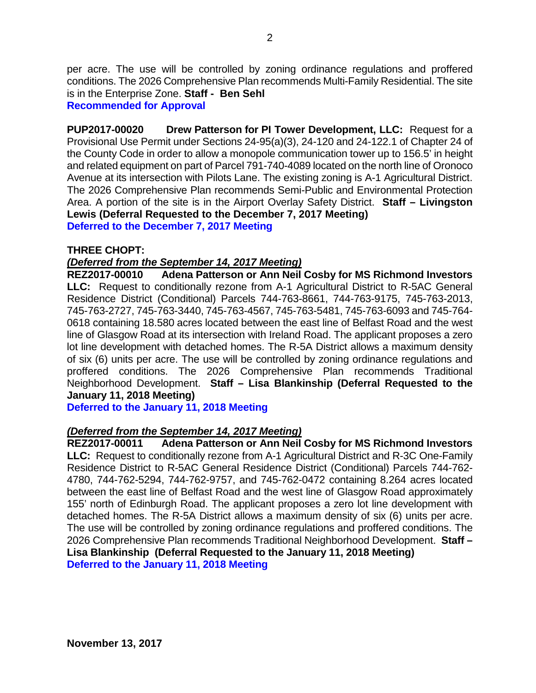per acre. The use will be controlled by zoning ordinance regulations and proffered conditions. The 2026 Comprehensive Plan recommends Multi-Family Residential. The site is in the Enterprise Zone. **Staff - Ben Sehl**

**Recommended for Approval**

**PUP2017-00020 Drew Patterson for PI Tower Development, LLC:** Request for a Provisional Use Permit under Sections 24-95(a)(3), 24-120 and 24-122.1 of Chapter 24 of the County Code in order to allow a monopole communication tower up to 156.5' in height and related equipment on part of Parcel 791-740-4089 located on the north line of Oronoco Avenue at its intersection with Pilots Lane. The existing zoning is A-1 Agricultural District. The 2026 Comprehensive Plan recommends Semi-Public and Environmental Protection Area. A portion of the site is in the Airport Overlay Safety District. **Staff – Livingston Lewis (Deferral Requested to the December 7, 2017 Meeting) Deferred to the December 7, 2017 Meeting**

#### **THREE CHOPT:**

### *(Deferred from the September 14, 2017 Meeting)*

**REZ2017-00010 Adena Patterson or Ann Neil Cosby for MS Richmond Investors LLC:** Request to conditionally rezone from A-1 Agricultural District to R-5AC General Residence District (Conditional) Parcels 744-763-8661, 744-763-9175, 745-763-2013, 745-763-2727, 745-763-3440, 745-763-4567, 745-763-5481, 745-763-6093 and 745-764- 0618 containing 18.580 acres located between the east line of Belfast Road and the west line of Glasgow Road at its intersection with Ireland Road. The applicant proposes a zero lot line development with detached homes. The R-5A District allows a maximum density of six (6) units per acre. The use will be controlled by zoning ordinance regulations and proffered conditions. The 2026 Comprehensive Plan recommends Traditional Neighborhood Development. **Staff – Lisa Blankinship (Deferral Requested to the January 11, 2018 Meeting)**

**Deferred to the January 11, 2018 Meeting**

# *(Deferred from the September 14, 2017 Meeting)*

**REZ2017-00011 Adena Patterson or Ann Neil Cosby for MS Richmond Investors LLC:** Request to conditionally rezone from A-1 Agricultural District and R-3C One-Family Residence District to R-5AC General Residence District (Conditional) Parcels 744-762- 4780, 744-762-5294, 744-762-9757, and 745-762-0472 containing 8.264 acres located between the east line of Belfast Road and the west line of Glasgow Road approximately 155' north of Edinburgh Road. The applicant proposes a zero lot line development with detached homes. The R-5A District allows a maximum density of six (6) units per acre. The use will be controlled by zoning ordinance regulations and proffered conditions. The 2026 Comprehensive Plan recommends Traditional Neighborhood Development. **Staff – Lisa Blankinship (Deferral Requested to the January 11, 2018 Meeting) Deferred to the January 11, 2018 Meeting**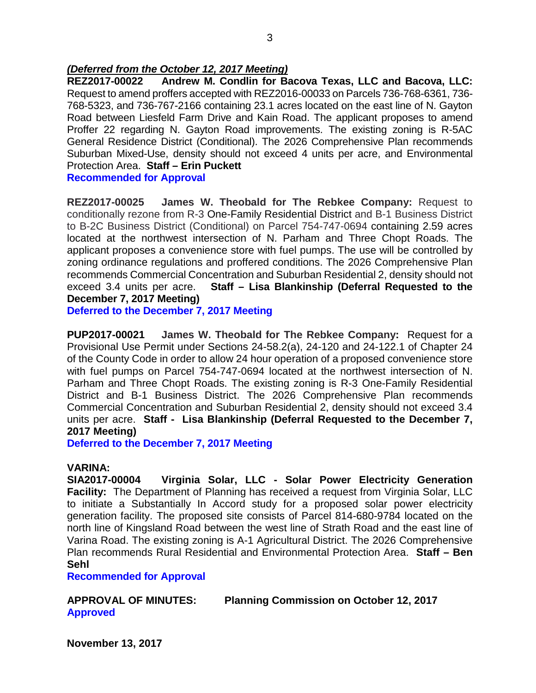#### *(Deferred from the October 12, 2017 Meeting)*

**REZ2017-00022 Andrew M. Condlin for Bacova Texas, LLC and Bacova, LLC:** Request to amend proffers accepted with REZ2016-00033 on Parcels 736-768-6361, 736- 768-5323, and 736-767-2166 containing 23.1 acres located on the east line of N. Gayton Road between Liesfeld Farm Drive and Kain Road. The applicant proposes to amend Proffer 22 regarding N. Gayton Road improvements. The existing zoning is R-5AC General Residence District (Conditional). The 2026 Comprehensive Plan recommends Suburban Mixed-Use, density should not exceed 4 units per acre, and Environmental Protection Area. **Staff – Erin Puckett** 

**Recommended for Approval**

**REZ2017-00025 James W. Theobald for The Rebkee Company:** Request to conditionally rezone from R-3 One-Family Residential District and B-1 Business District to B-2C Business District (Conditional) on Parcel 754-747-0694 containing 2.59 acres located at the northwest intersection of N. Parham and Three Chopt Roads. The applicant proposes a convenience store with fuel pumps. The use will be controlled by zoning ordinance regulations and proffered conditions. The 2026 Comprehensive Plan recommends Commercial Concentration and Suburban Residential 2, density should not exceed 3.4 units per acre. **Staff – Lisa Blankinship (Deferral Requested to the December 7, 2017 Meeting)**

**Deferred to the December 7, 2017 Meeting**

**PUP2017-00021 James W. Theobald for The Rebkee Company:** Request for a Provisional Use Permit under Sections 24-58.2(a), 24-120 and 24-122.1 of Chapter 24 of the County Code in order to allow 24 hour operation of a proposed convenience store with fuel pumps on Parcel 754-747-0694 located at the northwest intersection of N. Parham and Three Chopt Roads. The existing zoning is R-3 One-Family Residential District and B-1 Business District. The 2026 Comprehensive Plan recommends Commercial Concentration and Suburban Residential 2, density should not exceed 3.4 units per acre. **Staff - Lisa Blankinship (Deferral Requested to the December 7, 2017 Meeting)**

**Deferred to the December 7, 2017 Meeting**

#### **VARINA:**

**SIA2017-00004 Virginia Solar, LLC - Solar Power Electricity Generation Facility:** The Department of Planning has received a request from Virginia Solar, LLC to initiate a Substantially In Accord study for a proposed solar power electricity generation facility. The proposed site consists of Parcel 814-680-9784 located on the north line of Kingsland Road between the west line of Strath Road and the east line of Varina Road. The existing zoning is A-1 Agricultural District. The 2026 Comprehensive Plan recommends Rural Residential and Environmental Protection Area. **Staff – Ben Sehl**

**Recommended for Approval**

### **APPROVAL OF MINUTES: Planning Commission on October 12, 2017 Approved**

**November 13, 2017**